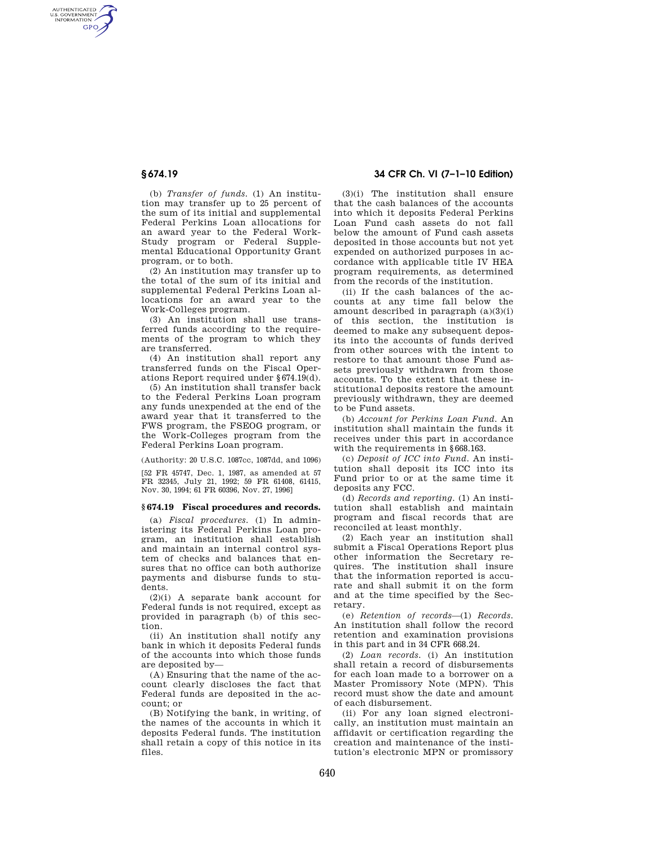AUTHENTICATED<br>U.S. GOVERNMENT<br>INFORMATION **GPO** 

> (b) *Transfer of funds.* (1) An institution may transfer up to 25 percent of the sum of its initial and supplemental Federal Perkins Loan allocations for an award year to the Federal Work-Study program or Federal Supplemental Educational Opportunity Grant program, or to both.

> (2) An institution may transfer up to the total of the sum of its initial and supplemental Federal Perkins Loan allocations for an award year to the Work-Colleges program.

> (3) An institution shall use transferred funds according to the requirements of the program to which they are transferred.

> (4) An institution shall report any transferred funds on the Fiscal Operations Report required under §674.19(d).

> (5) An institution shall transfer back to the Federal Perkins Loan program any funds unexpended at the end of the award year that it transferred to the FWS program, the FSEOG program, or the Work-Colleges program from the Federal Perkins Loan program.

(Authority: 20 U.S.C. 1087cc, 1087dd, and 1096)

[52 FR 45747, Dec. 1, 1987, as amended at 57 FR 32345, July 21, 1992; 59 FR 61408, 61415, Nov. 30, 1994; 61 FR 60396, Nov. 27, 1996]

### **§ 674.19 Fiscal procedures and records.**

(a) *Fiscal procedures.* (1) In administering its Federal Perkins Loan program, an institution shall establish and maintain an internal control system of checks and balances that ensures that no office can both authorize payments and disburse funds to students.

(2)(i) A separate bank account for Federal funds is not required, except as provided in paragraph (b) of this section.

(ii) An institution shall notify any bank in which it deposits Federal funds of the accounts into which those funds are deposited by—

(A) Ensuring that the name of the account clearly discloses the fact that Federal funds are deposited in the account; or

(B) Notifying the bank, in writing, of the names of the accounts in which it deposits Federal funds. The institution shall retain a copy of this notice in its files.

# **§ 674.19 34 CFR Ch. VI (7–1–10 Edition)**

(3)(i) The institution shall ensure that the cash balances of the accounts into which it deposits Federal Perkins Loan Fund cash assets do not fall below the amount of Fund cash assets deposited in those accounts but not yet expended on authorized purposes in accordance with applicable title IV HEA program requirements, as determined from the records of the institution.

(ii) If the cash balances of the accounts at any time fall below the amount described in paragraph (a)(3)(i) of this section, the institution is deemed to make any subsequent deposits into the accounts of funds derived from other sources with the intent to restore to that amount those Fund assets previously withdrawn from those accounts. To the extent that these institutional deposits restore the amount previously withdrawn, they are deemed to be Fund assets.

(b) *Account for Perkins Loan Fund.* An institution shall maintain the funds it receives under this part in accordance with the requirements in §668.163.

(c) *Deposit of ICC into Fund.* An institution shall deposit its ICC into its Fund prior to or at the same time it deposits any FCC.

(d) *Records and reporting.* (1) An institution shall establish and maintain program and fiscal records that are reconciled at least monthly.

(2) Each year an institution shall submit a Fiscal Operations Report plus other information the Secretary requires. The institution shall insure that the information reported is accurate and shall submit it on the form and at the time specified by the Secretary.

(e) *Retention of records*—(1) *Records.*  An institution shall follow the record retention and examination provisions in this part and in 34 CFR 668.24.

(2) *Loan records.* (i) An institution shall retain a record of disbursements for each loan made to a borrower on a Master Promissory Note (MPN). This record must show the date and amount of each disbursement.

(ii) For any loan signed electronically, an institution must maintain an affidavit or certification regarding the creation and maintenance of the institution's electronic MPN or promissory